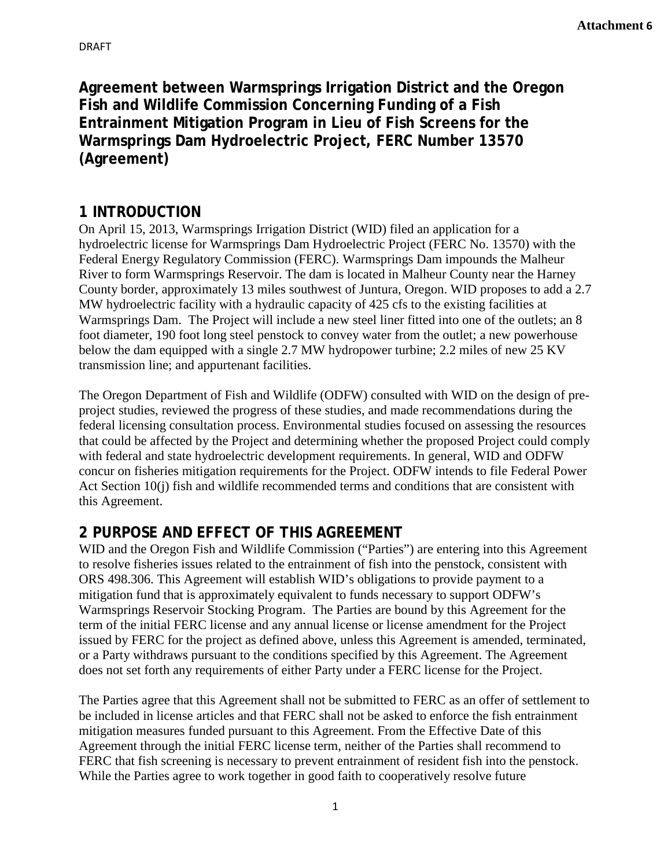**Agreement between Warmsprings Irrigation District and the Oregon Fish and Wildlife Commission Concerning Funding of a Fish Entrainment Mitigation Program in Lieu of Fish Screens for the Warmsprings Dam Hydroelectric Project, FERC Number 13570 (Agreement)**

### **1 INTRODUCTION**

On April 15, 2013, Warmsprings Irrigation District (WID) filed an application for a hydroelectric license for Warmsprings Dam Hydroelectric Project (FERC No. 13570) with the Federal Energy Regulatory Commission (FERC). Warmsprings Dam impounds the Malheur River to form Warmsprings Reservoir. The dam is located in Malheur County near the Harney County border, approximately 13 miles southwest of Juntura, Oregon. WID proposes to add a 2.7 MW hydroelectric facility with a hydraulic capacity of 425 cfs to the existing facilities at Warmsprings Dam. The Project will include a new steel liner fitted into one of the outlets; an 8 foot diameter, 190 foot long steel penstock to convey water from the outlet; a new powerhouse below the dam equipped with a single 2.7 MW hydropower turbine; 2.2 miles of new 25 KV transmission line; and appurtenant facilities.

The Oregon Department of Fish and Wildlife (ODFW) consulted with WID on the design of preproject studies, reviewed the progress of these studies, and made recommendations during the federal licensing consultation process. Environmental studies focused on assessing the resources that could be affected by the Project and determining whether the proposed Project could comply with federal and state hydroelectric development requirements. In general, WID and ODFW concur on fisheries mitigation requirements for the Project. ODFW intends to file Federal Power Act Section 10(j) fish and wildlife recommended terms and conditions that are consistent with this Agreement.

# **2 PURPOSE AND EFFECT OF THIS AGREEMENT**

WID and the Oregon Fish and Wildlife Commission ("Parties") are entering into this Agreement to resolve fisheries issues related to the entrainment of fish into the penstock, consistent with ORS 498.306. This Agreement will establish WID's obligations to provide payment to a mitigation fund that is approximately equivalent to funds necessary to support ODFW's Warmsprings Reservoir Stocking Program. The Parties are bound by this Agreement for the term of the initial FERC license and any annual license or license amendment for the Project issued by FERC for the project as defined above, unless this Agreement is amended, terminated, or a Party withdraws pursuant to the conditions specified by this Agreement. The Agreement does not set forth any requirements of either Party under a FERC license for the Project.

The Parties agree that this Agreement shall not be submitted to FERC as an offer of settlement to be included in license articles and that FERC shall not be asked to enforce the fish entrainment mitigation measures funded pursuant to this Agreement. From the Effective Date of this Agreement through the initial FERC license term, neither of the Parties shall recommend to FERC that fish screening is necessary to prevent entrainment of resident fish into the penstock. While the Parties agree to work together in good faith to cooperatively resolve future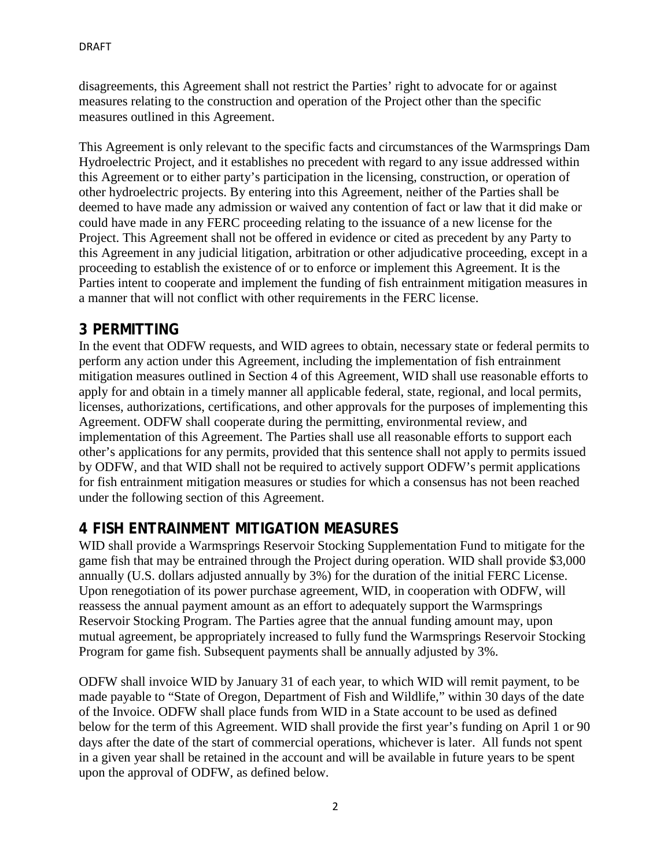disagreements, this Agreement shall not restrict the Parties' right to advocate for or against measures relating to the construction and operation of the Project other than the specific measures outlined in this Agreement.

This Agreement is only relevant to the specific facts and circumstances of the Warmsprings Dam Hydroelectric Project, and it establishes no precedent with regard to any issue addressed within this Agreement or to either party's participation in the licensing, construction, or operation of other hydroelectric projects. By entering into this Agreement, neither of the Parties shall be deemed to have made any admission or waived any contention of fact or law that it did make or could have made in any FERC proceeding relating to the issuance of a new license for the Project. This Agreement shall not be offered in evidence or cited as precedent by any Party to this Agreement in any judicial litigation, arbitration or other adjudicative proceeding, except in a proceeding to establish the existence of or to enforce or implement this Agreement. It is the Parties intent to cooperate and implement the funding of fish entrainment mitigation measures in a manner that will not conflict with other requirements in the FERC license.

### **3 PERMITTING**

In the event that ODFW requests, and WID agrees to obtain, necessary state or federal permits to perform any action under this Agreement, including the implementation of fish entrainment mitigation measures outlined in Section 4 of this Agreement, WID shall use reasonable efforts to apply for and obtain in a timely manner all applicable federal, state, regional, and local permits, licenses, authorizations, certifications, and other approvals for the purposes of implementing this Agreement. ODFW shall cooperate during the permitting, environmental review, and implementation of this Agreement. The Parties shall use all reasonable efforts to support each other's applications for any permits, provided that this sentence shall not apply to permits issued by ODFW, and that WID shall not be required to actively support ODFW's permit applications for fish entrainment mitigation measures or studies for which a consensus has not been reached under the following section of this Agreement.

## **4 FISH ENTRAINMENT MITIGATION MEASURES**

WID shall provide a Warmsprings Reservoir Stocking Supplementation Fund to mitigate for the game fish that may be entrained through the Project during operation. WID shall provide \$3,000 annually (U.S. dollars adjusted annually by 3%) for the duration of the initial FERC License. Upon renegotiation of its power purchase agreement, WID, in cooperation with ODFW, will reassess the annual payment amount as an effort to adequately support the Warmsprings Reservoir Stocking Program. The Parties agree that the annual funding amount may, upon mutual agreement, be appropriately increased to fully fund the Warmsprings Reservoir Stocking Program for game fish. Subsequent payments shall be annually adjusted by 3%.

ODFW shall invoice WID by January 31 of each year, to which WID will remit payment, to be made payable to "State of Oregon, Department of Fish and Wildlife," within 30 days of the date of the Invoice. ODFW shall place funds from WID in a State account to be used as defined below for the term of this Agreement. WID shall provide the first year's funding on April 1 or 90 days after the date of the start of commercial operations, whichever is later. All funds not spent in a given year shall be retained in the account and will be available in future years to be spent upon the approval of ODFW, as defined below.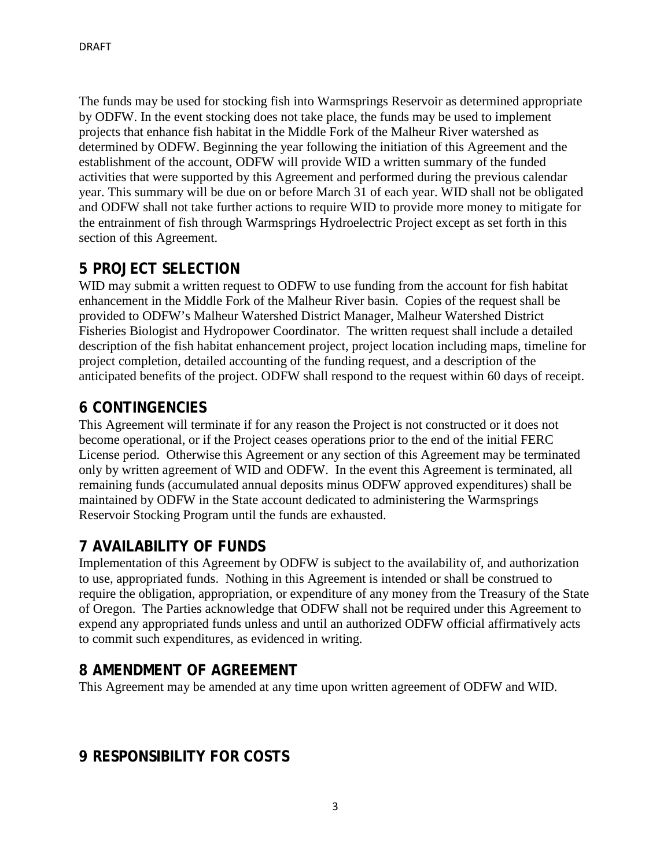The funds may be used for stocking fish into Warmsprings Reservoir as determined appropriate by ODFW. In the event stocking does not take place, the funds may be used to implement projects that enhance fish habitat in the Middle Fork of the Malheur River watershed as determined by ODFW. Beginning the year following the initiation of this Agreement and the establishment of the account, ODFW will provide WID a written summary of the funded activities that were supported by this Agreement and performed during the previous calendar year. This summary will be due on or before March 31 of each year. WID shall not be obligated and ODFW shall not take further actions to require WID to provide more money to mitigate for the entrainment of fish through Warmsprings Hydroelectric Project except as set forth in this section of this Agreement.

### **5 PROJECT SELECTION**

WID may submit a written request to ODFW to use funding from the account for fish habitat enhancement in the Middle Fork of the Malheur River basin. Copies of the request shall be provided to ODFW's Malheur Watershed District Manager, Malheur Watershed District Fisheries Biologist and Hydropower Coordinator. The written request shall include a detailed description of the fish habitat enhancement project, project location including maps, timeline for project completion, detailed accounting of the funding request, and a description of the anticipated benefits of the project. ODFW shall respond to the request within 60 days of receipt.

## **6 CONTINGENCIES**

This Agreement will terminate if for any reason the Project is not constructed or it does not become operational, or if the Project ceases operations prior to the end of the initial FERC License period. Otherwise this Agreement or any section of this Agreement may be terminated only by written agreement of WID and ODFW. In the event this Agreement is terminated, all remaining funds (accumulated annual deposits minus ODFW approved expenditures) shall be maintained by ODFW in the State account dedicated to administering the Warmsprings Reservoir Stocking Program until the funds are exhausted.

## **7 AVAILABILITY OF FUNDS**

Implementation of this Agreement by ODFW is subject to the availability of, and authorization to use, appropriated funds. Nothing in this Agreement is intended or shall be construed to require the obligation, appropriation, or expenditure of any money from the Treasury of the State of Oregon. The Parties acknowledge that ODFW shall not be required under this Agreement to expend any appropriated funds unless and until an authorized ODFW official affirmatively acts to commit such expenditures, as evidenced in writing.

## **8 AMENDMENT OF AGREEMENT**

This Agreement may be amended at any time upon written agreement of ODFW and WID.

#### **9 RESPONSIBILITY FOR COSTS**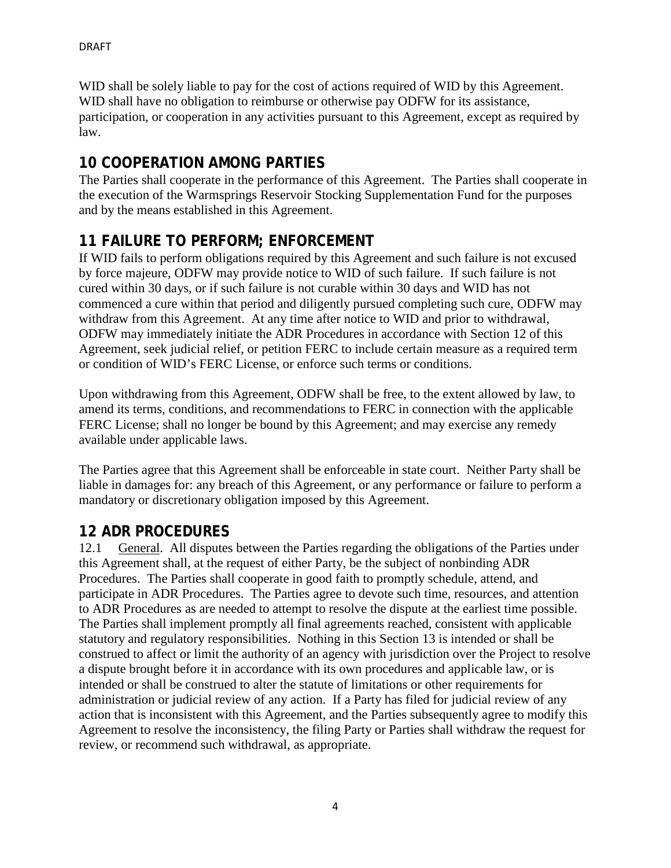WID shall be solely liable to pay for the cost of actions required of WID by this Agreement. WID shall have no obligation to reimburse or otherwise pay ODFW for its assistance, participation, or cooperation in any activities pursuant to this Agreement, except as required by law.

## **10 COOPERATION AMONG PARTIES**

The Parties shall cooperate in the performance of this Agreement. The Parties shall cooperate in the execution of the Warmsprings Reservoir Stocking Supplementation Fund for the purposes and by the means established in this Agreement.

## **11 FAILURE TO PERFORM; ENFORCEMENT**

If WID fails to perform obligations required by this Agreement and such failure is not excused by force majeure, ODFW may provide notice to WID of such failure. If such failure is not cured within 30 days, or if such failure is not curable within 30 days and WID has not commenced a cure within that period and diligently pursued completing such cure, ODFW may withdraw from this Agreement. At any time after notice to WID and prior to withdrawal, ODFW may immediately initiate the ADR Procedures in accordance with Section 12 of this Agreement, seek judicial relief, or petition FERC to include certain measure as a required term or condition of WID's FERC License, or enforce such terms or conditions.

Upon withdrawing from this Agreement, ODFW shall be free, to the extent allowed by law, to amend its terms, conditions, and recommendations to FERC in connection with the applicable FERC License; shall no longer be bound by this Agreement; and may exercise any remedy available under applicable laws.

The Parties agree that this Agreement shall be enforceable in state court. Neither Party shall be liable in damages for: any breach of this Agreement, or any performance or failure to perform a mandatory or discretionary obligation imposed by this Agreement.

# **12 ADR PROCEDURES**

12.1 General. All disputes between the Parties regarding the obligations of the Parties under this Agreement shall, at the request of either Party, be the subject of nonbinding ADR Procedures. The Parties shall cooperate in good faith to promptly schedule, attend, and participate in ADR Procedures. The Parties agree to devote such time, resources, and attention to ADR Procedures as are needed to attempt to resolve the dispute at the earliest time possible. The Parties shall implement promptly all final agreements reached, consistent with applicable statutory and regulatory responsibilities. Nothing in this Section 13 is intended or shall be construed to affect or limit the authority of an agency with jurisdiction over the Project to resolve a dispute brought before it in accordance with its own procedures and applicable law, or is intended or shall be construed to alter the statute of limitations or other requirements for administration or judicial review of any action. If a Party has filed for judicial review of any action that is inconsistent with this Agreement, and the Parties subsequently agree to modify this Agreement to resolve the inconsistency, the filing Party or Parties shall withdraw the request for review, or recommend such withdrawal, as appropriate.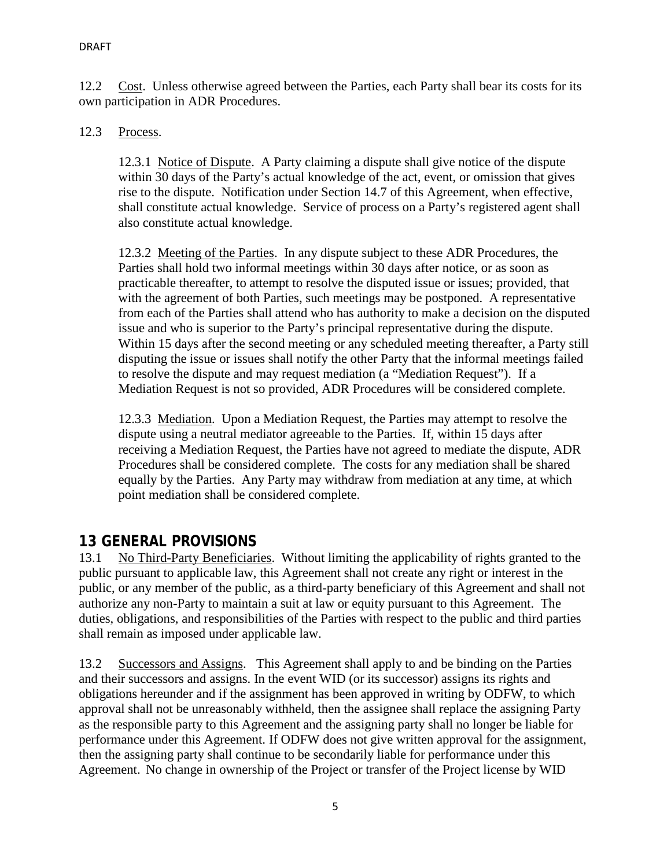12.2 Cost. Unless otherwise agreed between the Parties, each Party shall bear its costs for its own participation in ADR Procedures.

#### 12.3 Process.

12.3.1 Notice of Dispute. A Party claiming a dispute shall give notice of the dispute within 30 days of the Party's actual knowledge of the act, event, or omission that gives rise to the dispute. Notification under Section 14.7 of this Agreement, when effective, shall constitute actual knowledge. Service of process on a Party's registered agent shall also constitute actual knowledge.

12.3.2 Meeting of the Parties. In any dispute subject to these ADR Procedures, the Parties shall hold two informal meetings within 30 days after notice, or as soon as practicable thereafter, to attempt to resolve the disputed issue or issues; provided, that with the agreement of both Parties, such meetings may be postponed. A representative from each of the Parties shall attend who has authority to make a decision on the disputed issue and who is superior to the Party's principal representative during the dispute. Within 15 days after the second meeting or any scheduled meeting thereafter, a Party still disputing the issue or issues shall notify the other Party that the informal meetings failed to resolve the dispute and may request mediation (a "Mediation Request"). If a Mediation Request is not so provided, ADR Procedures will be considered complete.

12.3.3 Mediation. Upon a Mediation Request, the Parties may attempt to resolve the dispute using a neutral mediator agreeable to the Parties. If, within 15 days after receiving a Mediation Request, the Parties have not agreed to mediate the dispute, ADR Procedures shall be considered complete. The costs for any mediation shall be shared equally by the Parties. Any Party may withdraw from mediation at any time, at which point mediation shall be considered complete.

## **13 GENERAL PROVISIONS**

13.1 No Third-Party Beneficiaries. Without limiting the applicability of rights granted to the public pursuant to applicable law, this Agreement shall not create any right or interest in the public, or any member of the public, as a third-party beneficiary of this Agreement and shall not authorize any non-Party to maintain a suit at law or equity pursuant to this Agreement. The duties, obligations, and responsibilities of the Parties with respect to the public and third parties shall remain as imposed under applicable law.

13.2 Successors and Assigns. This Agreement shall apply to and be binding on the Parties and their successors and assigns. In the event WID (or its successor) assigns its rights and obligations hereunder and if the assignment has been approved in writing by ODFW, to which approval shall not be unreasonably withheld, then the assignee shall replace the assigning Party as the responsible party to this Agreement and the assigning party shall no longer be liable for performance under this Agreement. If ODFW does not give written approval for the assignment, then the assigning party shall continue to be secondarily liable for performance under this Agreement. No change in ownership of the Project or transfer of the Project license by WID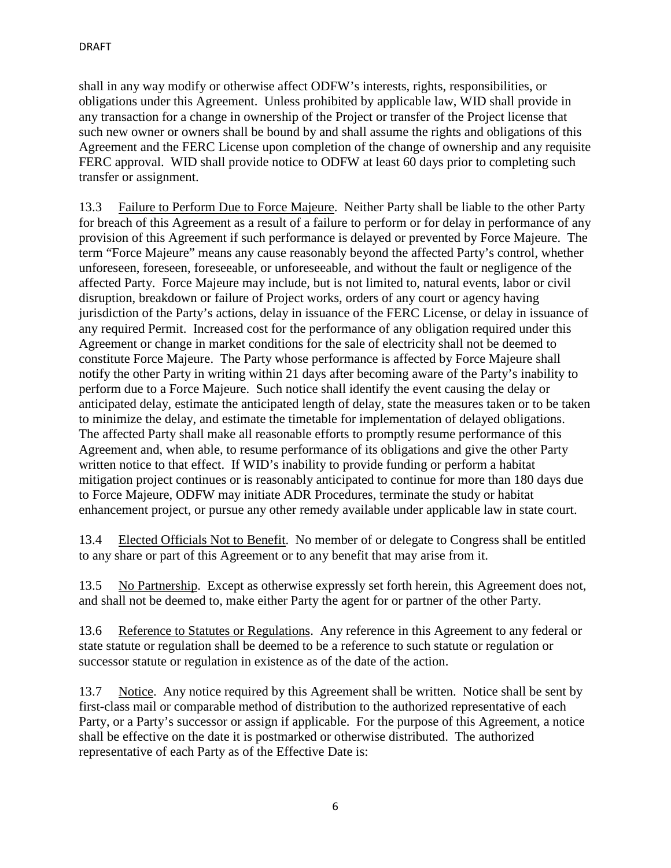shall in any way modify or otherwise affect ODFW's interests, rights, responsibilities, or obligations under this Agreement. Unless prohibited by applicable law, WID shall provide in any transaction for a change in ownership of the Project or transfer of the Project license that such new owner or owners shall be bound by and shall assume the rights and obligations of this Agreement and the FERC License upon completion of the change of ownership and any requisite FERC approval. WID shall provide notice to ODFW at least 60 days prior to completing such transfer or assignment.

13.3 Failure to Perform Due to Force Majeure. Neither Party shall be liable to the other Party for breach of this Agreement as a result of a failure to perform or for delay in performance of any provision of this Agreement if such performance is delayed or prevented by Force Majeure. The term "Force Majeure" means any cause reasonably beyond the affected Party's control, whether unforeseen, foreseen, foreseeable, or unforeseeable, and without the fault or negligence of the affected Party. Force Majeure may include, but is not limited to, natural events, labor or civil disruption, breakdown or failure of Project works, orders of any court or agency having jurisdiction of the Party's actions, delay in issuance of the FERC License, or delay in issuance of any required Permit. Increased cost for the performance of any obligation required under this Agreement or change in market conditions for the sale of electricity shall not be deemed to constitute Force Majeure. The Party whose performance is affected by Force Majeure shall notify the other Party in writing within 21 days after becoming aware of the Party's inability to perform due to a Force Majeure. Such notice shall identify the event causing the delay or anticipated delay, estimate the anticipated length of delay, state the measures taken or to be taken to minimize the delay, and estimate the timetable for implementation of delayed obligations. The affected Party shall make all reasonable efforts to promptly resume performance of this Agreement and, when able, to resume performance of its obligations and give the other Party written notice to that effect. If WID's inability to provide funding or perform a habitat mitigation project continues or is reasonably anticipated to continue for more than 180 days due to Force Majeure, ODFW may initiate ADR Procedures, terminate the study or habitat enhancement project, or pursue any other remedy available under applicable law in state court.

13.4 Elected Officials Not to Benefit. No member of or delegate to Congress shall be entitled to any share or part of this Agreement or to any benefit that may arise from it.

13.5 No Partnership. Except as otherwise expressly set forth herein, this Agreement does not, and shall not be deemed to, make either Party the agent for or partner of the other Party.

13.6 Reference to Statutes or Regulations. Any reference in this Agreement to any federal or state statute or regulation shall be deemed to be a reference to such statute or regulation or successor statute or regulation in existence as of the date of the action.

13.7 Notice. Any notice required by this Agreement shall be written. Notice shall be sent by first-class mail or comparable method of distribution to the authorized representative of each Party, or a Party's successor or assign if applicable. For the purpose of this Agreement, a notice shall be effective on the date it is postmarked or otherwise distributed. The authorized representative of each Party as of the Effective Date is: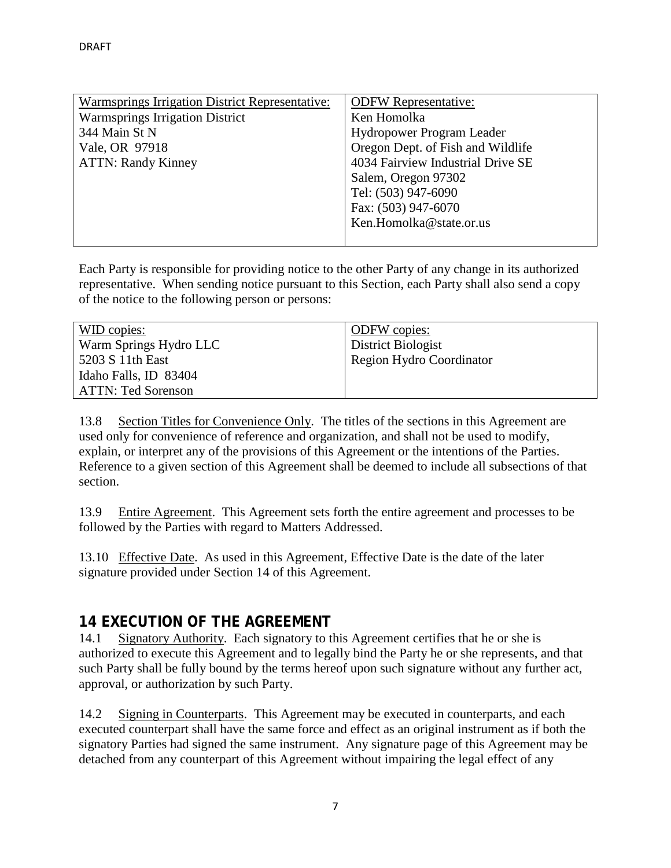| Warmsprings Irrigation District Representative: | <b>ODFW Representative:</b>       |
|-------------------------------------------------|-----------------------------------|
| <b>Warmsprings Irrigation District</b>          | Ken Homolka                       |
| 344 Main St N                                   | <b>Hydropower Program Leader</b>  |
| Vale, OR 97918                                  | Oregon Dept. of Fish and Wildlife |
| <b>ATTN: Randy Kinney</b>                       | 4034 Fairview Industrial Drive SE |
|                                                 | Salem, Oregon 97302               |
|                                                 | Tel: (503) 947-6090               |
|                                                 | Fax: (503) 947-6070               |
|                                                 | Ken.Homolka@state.or.us           |
|                                                 |                                   |

Each Party is responsible for providing notice to the other Party of any change in its authorized representative. When sending notice pursuant to this Section, each Party shall also send a copy of the notice to the following person or persons:

| WID copies:               | <b>ODFW</b> copies:      |
|---------------------------|--------------------------|
| Warm Springs Hydro LLC    | District Biologist       |
| 5203 S 11th East          | Region Hydro Coordinator |
| Idaho Falls, ID 83404     |                          |
| <b>ATTN: Ted Sorenson</b> |                          |

13.8 Section Titles for Convenience Only. The titles of the sections in this Agreement are used only for convenience of reference and organization, and shall not be used to modify, explain, or interpret any of the provisions of this Agreement or the intentions of the Parties. Reference to a given section of this Agreement shall be deemed to include all subsections of that section.

13.9 Entire Agreement. This Agreement sets forth the entire agreement and processes to be followed by the Parties with regard to Matters Addressed.

13.10 Effective Date. As used in this Agreement, Effective Date is the date of the later signature provided under Section 14 of this Agreement.

# **14 EXECUTION OF THE AGREEMENT**

14.1 Signatory Authority. Each signatory to this Agreement certifies that he or she is authorized to execute this Agreement and to legally bind the Party he or she represents, and that such Party shall be fully bound by the terms hereof upon such signature without any further act, approval, or authorization by such Party.

14.2 Signing in Counterparts. This Agreement may be executed in counterparts, and each executed counterpart shall have the same force and effect as an original instrument as if both the signatory Parties had signed the same instrument. Any signature page of this Agreement may be detached from any counterpart of this Agreement without impairing the legal effect of any